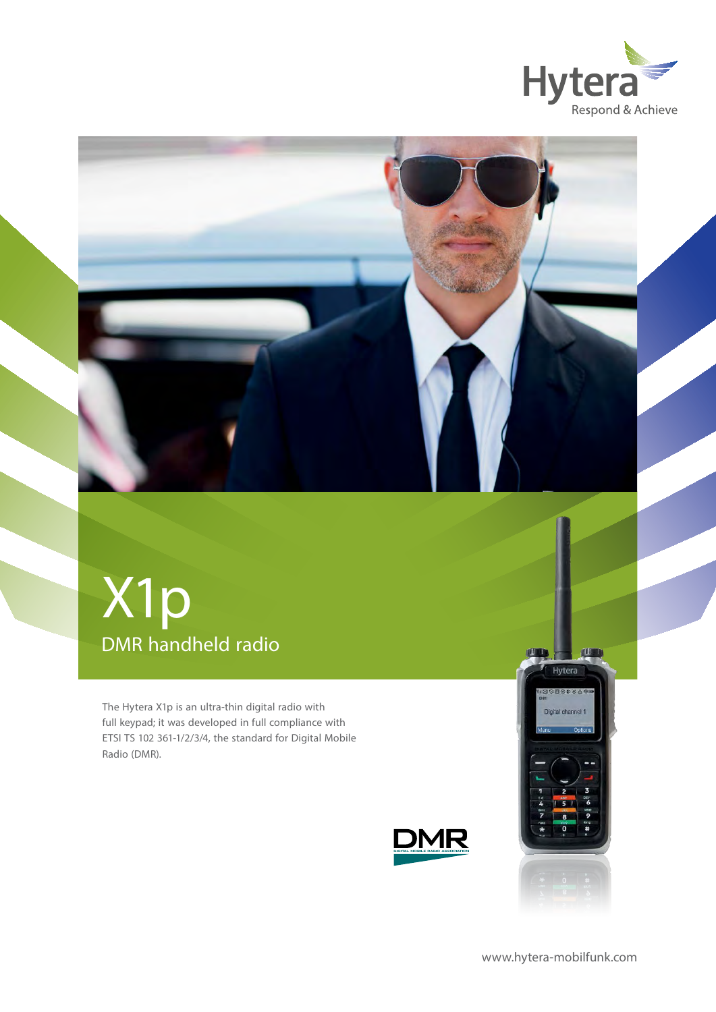

## DMR handheld radio X1p

The Hytera X1p is an ultra-thin digital radio with full keypad; it was developed in full compliance with ETSI TS 102 361-1/2/3/4, the standard for Digital Mobile Radio (DMR).





TU

**NUTT** 

[www.hytera-mobilfunk.com](http://www.hytera-mobilfunk.com)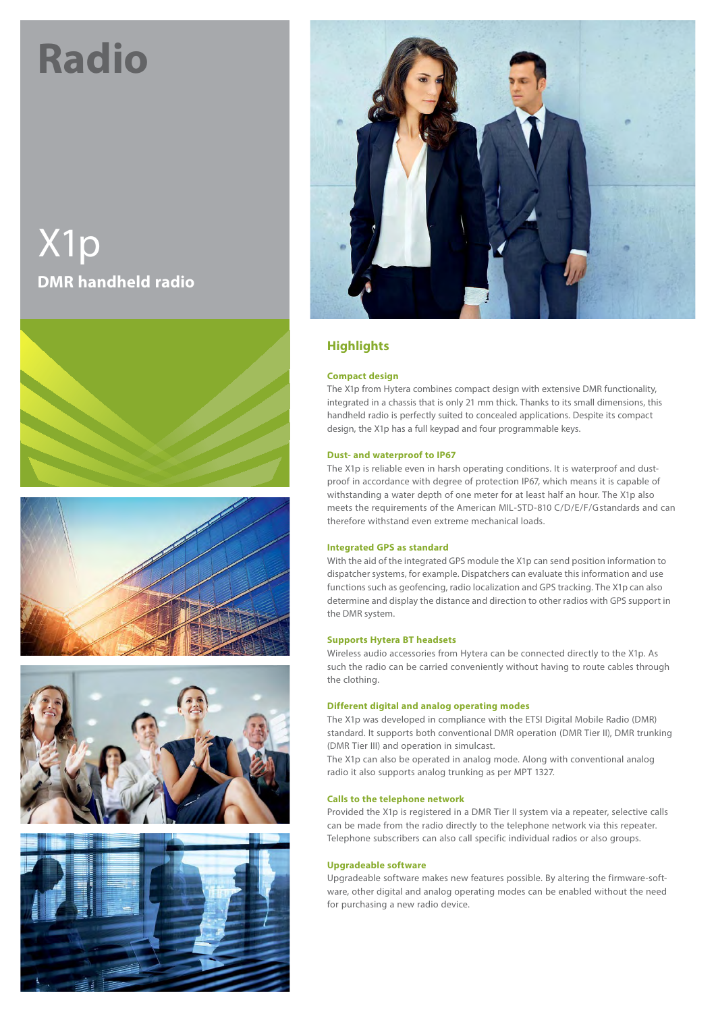# **Radio**

X1p **DMR handheld radio**











## **Highlights**

#### **Compact design**

The X1p from Hytera combines compact design with extensive DMR functionality, integrated in a chassis that is only 21 mm thick. Thanks to its small dimensions, this handheld radio is perfectly suited to concealed applications. Despite its compact design, the X1p has a full keypad and four programmable keys.

#### **Dust- and waterproof to IP67**

The X1p is reliable even in harsh operating conditions. It is waterproof and dustproof in accordance with degree of protection IP67, which means it is capable of withstanding a water depth of one meter for at least half an hour. The X1p also meets the requirements of the American MIL-STD-810 C/D/E/F/G standards and can therefore withstand even extreme mechanical loads.

#### **Integrated GPS as standard**

With the aid of the integrated GPS module the X1p can send position information to dispatcher systems, for example. Dispatchers can evaluate this information and use functions such as geofencing, radio localization and GPS tracking. The X1p can also determine and display the distance and direction to other radios with GPS support in the DMR system.

#### **Supports Hytera BT headsets**

Wireless audio accessories from Hytera can be connected directly to the X1p. As such the radio can be carried conveniently without having to route cables through the clothing.

#### **Different digital and analog operating modes**

The X1p was developed in compliance with the ETSI Digital Mobile Radio (DMR) standard. It supports both conventional DMR operation (DMR Tier II), DMR trunking (DMR Tier III) and operation in simulcast.

The X1p can also be operated in analog mode. Along with conventional analog radio it also supports analog trunking as per MPT 1327.

#### **Calls to the telephone network**

Provided the X1p is registered in a DMR Tier II system via a repeater, selective calls can be made from the radio directly to the telephone network via this repeater. Telephone subscribers can also call specific individual radios or also groups.

#### **Upgradeable software**

Upgradeable software makes new features possible. By altering the firmware-software, other digital and analog operating modes can be enabled without the need for purchasing a new radio device.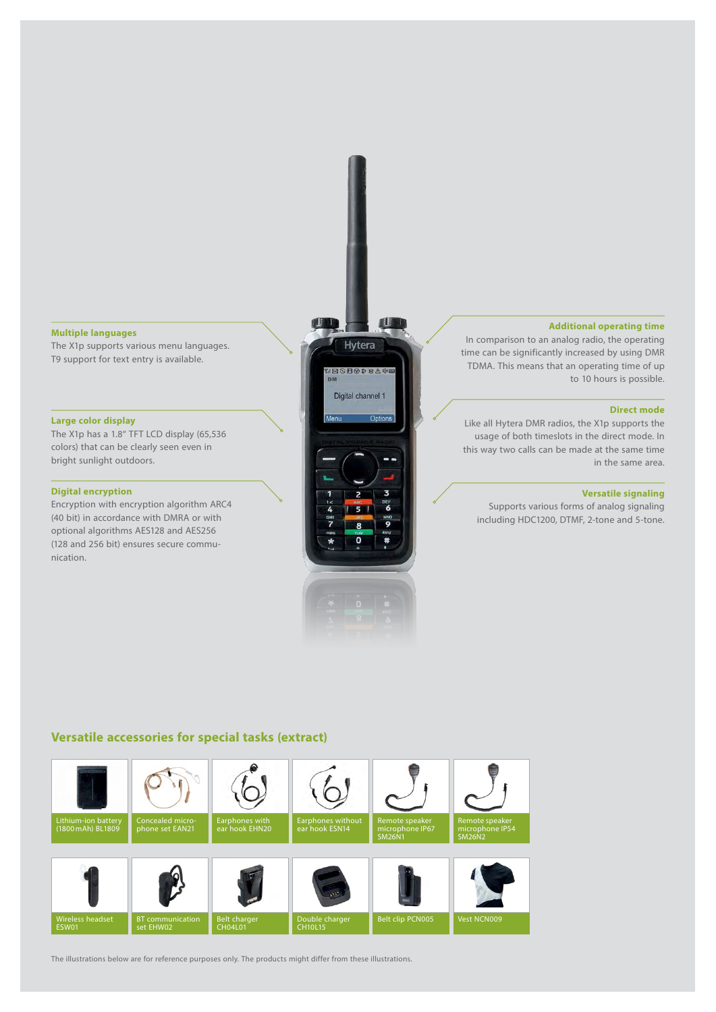#### **Multiple languages**

The X1p supports various menu languages. T9 support for text entry is available.

#### **Large color display**

The X1p has a 1.8" TFT LCD display (65,536 colors) that can be clearly seen even in bright sunlight outdoors.

#### **Digital encryption**

Encryption with encryption algorithm ARC4 (40 bit) in accordance with DMRA or with optional algorithms AES128 and AES256 (128 and 256 bit) ensures secure communication.



#### **Additional operating time**

In comparison to an analog radio, the operating time can be significantly increased by using DMR TDMA. This means that an operating time of up to 10 hours is possible.

#### **Direct mode**

Like all Hytera DMR radios, the X1p supports the usage of both timeslots in the direct mode. In this way two calls can be made at the same time in the same area.

#### **Versatile signaling**

Supports various forms of analog signaling including HDC1200, DTMF, 2-tone and 5-tone.

### **Versatile accessories for special tasks (extract)**



The illustrations below are for reference purposes only. The products might differ from these illustrations.